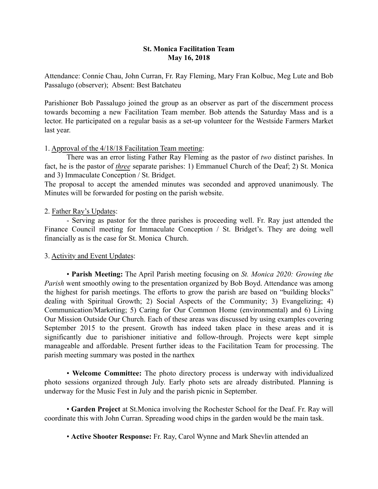## St. Monica Facilitation Team May 16, 2018

Attendance: Connie Chau, John Curran, Fr. Ray Fleming, Mary Fran Kolbuc, Meg Lute and Bob Passalugo (observer); Absent: Best Batchateu

Parishioner Bob Passalugo joined the group as an observer as part of the discernment process towards becoming a new Facilitation Team member. Bob attends the Saturday Mass and is a lector. He participated on a regular basis as a set-up volunteer for the Westside Farmers Market last year.

## 1. Approval of the 4/18/18 Facilitation Team meeting:

There was an error listing Father Ray Fleming as the pastor of *two* distinct parishes. In fact, he is the pastor of *three* separate parishes: 1) Emmanuel Church of the Deaf; 2) St. Monica and 3) Immaculate Conception / St. Bridget.

The proposal to accept the amended minutes was seconded and approved unanimously. The Minutes will be forwarded for posting on the parish website.

## 2. Father Ray's Updates:

- Serving as pastor for the three parishes is proceeding well. Fr. Ray just attended the Finance Council meeting for Immaculate Conception / St. Bridget's. They are doing well financially as is the case for St. Monica Church.

## 3. Activity and Event Updates:

• Parish Meeting: The April Parish meeting focusing on *St. Monica 2020: Growing the Parish* went smoothly owing to the presentation organized by Bob Boyd. Attendance was among the highest for parish meetings. The efforts to grow the parish are based on "building blocks" dealing with Spiritual Growth; 2) Social Aspects of the Community; 3) Evangelizing; 4) Communication/Marketing; 5) Caring for Our Common Home (environmental) and 6) Living Our Mission Outside Our Church. Each of these areas was discussed by using examples covering September 2015 to the present. Growth has indeed taken place in these areas and it is significantly due to parishioner initiative and follow-through. Projects were kept simple manageable and affordable. Present further ideas to the Facilitation Team for processing. The parish meeting summary was posted in the narthex

• Welcome Committee: The photo directory process is underway with individualized photo sessions organized through July. Early photo sets are already distributed. Planning is underway for the Music Fest in July and the parish picnic in September.

• Garden Project at St.Monica involving the Rochester School for the Deaf. Fr. Ray will coordinate this with John Curran. Spreading wood chips in the garden would be the main task.

• Active Shooter Response: Fr. Ray, Carol Wynne and Mark Shevlin attended an